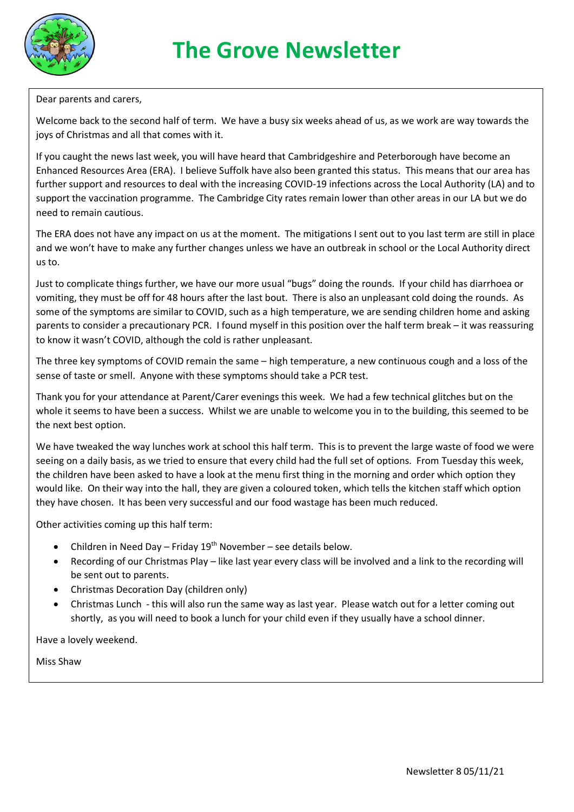

Dear parents and carers,

Welcome back to the second half of term. We have a busy six weeks ahead of us, as we work are way towards the joys of Christmas and all that comes with it.

If you caught the news last week, you will have heard that Cambridgeshire and Peterborough have become an Enhanced Resources Area (ERA). I believe Suffolk have also been granted this status. This means that our area has further support and resources to deal with the increasing COVID-19 infections across the Local Authority (LA) and to support the vaccination programme. The Cambridge City rates remain lower than other areas in our LA but we do need to remain cautious.

The ERA does not have any impact on us at the moment. The mitigations I sent out to you last term are still in place and we won't have to make any further changes unless we have an outbreak in school or the Local Authority direct us to.

Just to complicate things further, we have our more usual "bugs" doing the rounds. If your child has diarrhoea or vomiting, they must be off for 48 hours after the last bout. There is also an unpleasant cold doing the rounds. As some of the symptoms are similar to COVID, such as a high temperature, we are sending children home and asking parents to consider a precautionary PCR. I found myself in this position over the half term break – it was reassuring to know it wasn't COVID, although the cold is rather unpleasant.

The three key symptoms of COVID remain the same – high temperature, a new continuous cough and a loss of the sense of taste or smell. Anyone with these symptoms should take a PCR test.

Thank you for your attendance at Parent/Carer evenings this week. We had a few technical glitches but on the whole it seems to have been a success. Whilst we are unable to welcome you in to the building, this seemed to be the next best option.

We have tweaked the way lunches work at school this half term. This is to prevent the large waste of food we were seeing on a daily basis, as we tried to ensure that every child had the full set of options. From Tuesday this week, the children have been asked to have a look at the menu first thing in the morning and order which option they would like. On their way into the hall, they are given a coloured token, which tells the kitchen staff which option they have chosen. It has been very successful and our food wastage has been much reduced.

Other activities coming up this half term:

- Children in Need Day Friday  $19<sup>th</sup>$  November see details below.
- Recording of our Christmas Play like last year every class will be involved and a link to the recording will be sent out to parents.
- Christmas Decoration Day (children only)
- Christmas Lunch this will also run the same way as last year. Please watch out for a letter coming out shortly, as you will need to book a lunch for your child even if they usually have a school dinner.

Have a lovely weekend.

Miss Shaw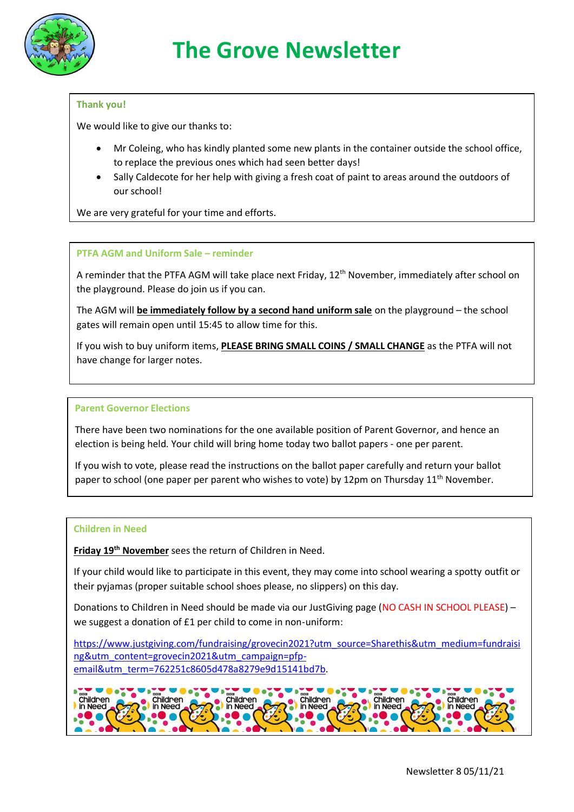

### **Thank you!**

We would like to give our thanks to:

- Mr Coleing, who has kindly planted some new plants in the container outside the school office, to replace the previous ones which had seen better days!
- Sally Caldecote for her help with giving a fresh coat of paint to areas around the outdoors of our school!

We are very grateful for your time and efforts.

#### **PTFA AGM and Uniform Sale – reminder**

A reminder that the PTFA AGM will take place next Friday, 12<sup>th</sup> November, immediately after school on the playground. Please do join us if you can.

The AGM will **be immediately follow by a second hand uniform sale** on the playground – the school gates will remain open until 15:45 to allow time for this.

If you wish to buy uniform items, **PLEASE BRING SMALL COINS / SMALL CHANGE** as the PTFA will not have change for larger notes.

#### **Parent Governor Elections**

There have been two nominations for the one available position of Parent Governor, and hence an election is being held. Your child will bring home today two ballot papers - one per parent.

If you wish to vote, please read the instructions on the ballot paper carefully and return your ballot paper to school (one paper per parent who wishes to vote) by 12pm on Thursday 11<sup>th</sup> November.

#### **Children in Need**

**Friday 19th November** sees the return of Children in Need.

If your child would like to participate in this event, they may come into school wearing a spotty outfit or their pyjamas (proper suitable school shoes please, no slippers) on this day.

Donations to Children in Need should be made via our JustGiving page (NO CASH IN SCHOOL PLEASE) – we suggest a donation of £1 per child to come in non-uniform:

[https://www.justgiving.com/fundraising/grovecin2021?utm\\_source=Sharethis&utm\\_medium=fundraisi](https://www.justgiving.com/fundraising/grovecin2021?utm_source=Sharethis&utm_medium=fundraising&utm_content=grovecin2021&utm_campaign=pfp-email&utm_term=762251c8605d478a8279e9d15141bd7b) [ng&utm\\_content=grovecin2021&utm\\_campaign=pfp](https://www.justgiving.com/fundraising/grovecin2021?utm_source=Sharethis&utm_medium=fundraising&utm_content=grovecin2021&utm_campaign=pfp-email&utm_term=762251c8605d478a8279e9d15141bd7b)[email&utm\\_term=762251c8605d478a8279e9d15141bd7b.](https://www.justgiving.com/fundraising/grovecin2021?utm_source=Sharethis&utm_medium=fundraising&utm_content=grovecin2021&utm_campaign=pfp-email&utm_term=762251c8605d478a8279e9d15141bd7b)

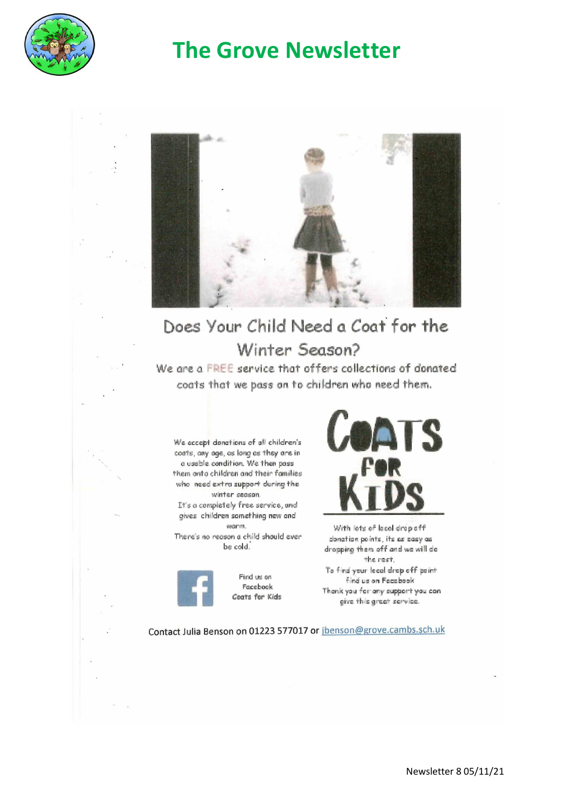

# **The Grove Newsletter**



# Does Your Child Need a Coat for the Winter Season?

We are a FREE service that offers collections of donated coats that we pass on to children who need them.

We accept donations of all children's coats, any age, as long as they are in a usable condition. We then pass them onto children and their families who need extra support during the winter season.

It's a completely free service, and gives children something new and warm.

There's no reason a child should ever be cold.



Find us on Facebook Coats for Kids



With lots of local drop off clonation points, its as easy as dropping them off and we will do the rest. To find your local drop off point find us on Facebook Thank you for any support you can give this great service.

Contact Julia Benson on 01223 577017 or jbenson@grove.cambs.sch.uk